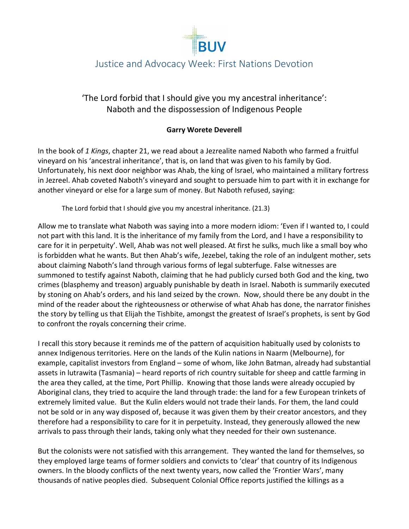

## Justice and Advocacy Week: First Nations Devotion

### 'The Lord forbid that I should give you my ancestral inheritance': Naboth and the dispossession of Indigenous People

#### **Garry Worete Deverell**

In the book of *1 Kings*, chapter 21, we read about a Jezrealite named Naboth who farmed a fruitful vineyard on his 'ancestral inheritance', that is, on land that was given to his family by God. Unfortunately, his next door neighbor was Ahab, the king of Israel, who maintained a military fortress in Jezreel. Ahab coveted Naboth's vineyard and sought to persuade him to part with it in exchange for another vineyard or else for a large sum of money. But Naboth refused, saying:

The Lord forbid that I should give you my ancestral inheritance. (21.3)

Allow me to translate what Naboth was saying into a more modern idiom: 'Even if I wanted to, I could not part with this land. It is the inheritance of my family from the Lord, and I have a responsibility to care for it in perpetuity'. Well, Ahab was not well pleased. At first he sulks, much like a small boy who is forbidden what he wants. But then Ahab's wife, Jezebel, taking the role of an indulgent mother, sets about claiming Naboth's land through various forms of legal subterfuge. False witnesses are summoned to testify against Naboth, claiming that he had publicly cursed both God and the king, two crimes (blasphemy and treason) arguably punishable by death in Israel. Naboth is summarily executed by stoning on Ahab's orders, and his land seized by the crown. Now, should there be any doubt in the mind of the reader about the righteousness or otherwise of what Ahab has done, the narrator finishes the story by telling us that Elijah the Tishbite, amongst the greatest of Israel's prophets, is sent by God to confront the royals concerning their crime.

I recall this story because it reminds me of the pattern of acquisition habitually used by colonists to annex Indigenous territories. Here on the lands of the Kulin nations in Naarm (Melbourne), for example, capitalist investors from England – some of whom, like John Batman, already had substantial assets in lutrawita (Tasmania) – heard reports of rich country suitable for sheep and cattle farming in the area they called, at the time, Port Phillip. Knowing that those lands were already occupied by Aboriginal clans, they tried to acquire the land through trade: the land for a few European trinkets of extremely limited value. But the Kulin elders would not trade their lands. For them, the land could not be sold or in any way disposed of, because it was given them by their creator ancestors, and they therefore had a responsibility to care for it in perpetuity. Instead, they generously allowed the new arrivals to pass through their lands, taking only what they needed for their own sustenance.

But the colonists were not satisfied with this arrangement. They wanted the land for themselves, so they employed large teams of former soldiers and convicts to 'clear' that country of its Indigenous owners. In the bloody conflicts of the next twenty years, now called the 'Frontier Wars', many thousands of native peoples died. Subsequent Colonial Office reports justified the killings as a